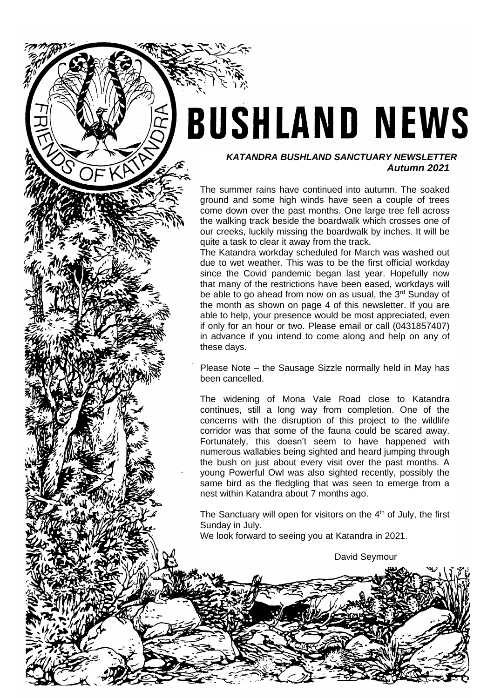# **BUSHLAND NEWS**

## *KATANDRA BUSHLAND SANCTUARY NEWSLETTER Autumn 2021*

The summer rains have continued into autumn. The soaked ground and some high winds have seen a couple of trees come down over the past months. One large tree fell across the walking track beside the boardwalk which crosses one of our creeks, luckily missing the boardwalk by inches. It will be quite a task to clear it away from the track.

The Katandra workday scheduled for March was washed out due to wet weather. This was to be the first official workday since the Covid pandemic began last year. Hopefully now that many of the restrictions have been eased, workdays will be able to go ahead from now on as usual, the 3<sup>rd</sup> Sunday of the month as shown on page 4 of this newsletter. If you are able to help, your presence would be most appreciated, even if only for an hour or two. Please email or call (0431857407) in advance if you intend to come along and help on any of these days.

Please Note – the Sausage Sizzle normally held in May has been cancelled.

The widening of Mona Vale Road close to Katandra continues, still a long way from completion. One of the concerns with the disruption of this project to the wildlife corridor was that some of the fauna could be scared away. Fortunately, this doesn't seem to have happened with numerous wallabies being sighted and heard jumping through the bush on just about every visit over the past months. A young Powerful Owl was also sighted recently, possibly the same bird as the fledgling that was seen to emerge from a nest within Katandra about 7 months ago.

The Sanctuary will open for visitors on the  $4<sup>th</sup>$  of July, the first Sunday in July.

We look forward to seeing you at Katandra in 2021.

David Seymour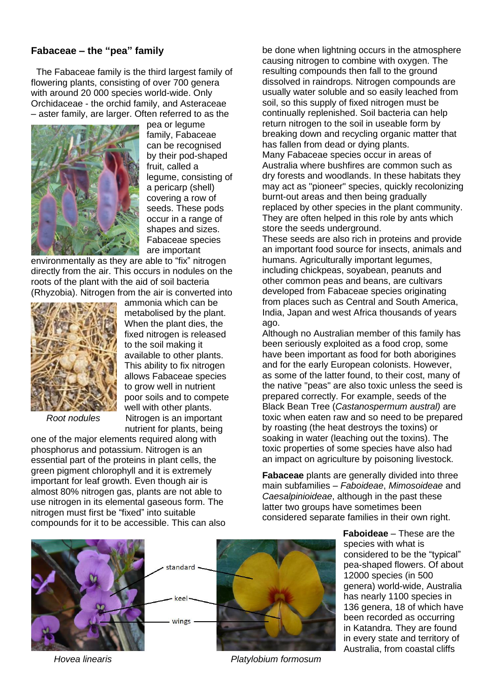# **Fabaceae – the "pea" family**

 The Fabaceae family is the third largest family of flowering plants, consisting of over 700 genera with around 20 000 species world-wide. Only Orchidaceae - the orchid family, and Asteraceae – aster family, are larger. Often referred to as the



pea or legume family, Fabaceae can be recognised by their pod-shaped fruit, called a legume, consisting of a pericarp (shell) covering a row of seeds. These pods occur in a range of shapes and sizes. Fabaceae species are important

environmentally as they are able to "fix" nitrogen directly from the air. This occurs in nodules on the roots of the plant with the aid of soil bacteria (Rhyzobia). Nitrogen from the air is converted into



fixed nitrogen is released to the soil making it available to other plants. This ability to fix nitrogen allows Fabaceae species to grow well in nutrient poor soils and to compete well with other plants. *Root nodules* Nitrogen is an important nutrient for plants, being

ammonia which can be metabolised by the plant. When the plant dies, the

one of the major elements required along with phosphorus and potassium. Nitrogen is an essential part of the proteins in plant cells, the green pigment chlorophyll and it is extremely important for leaf growth. Even though air is almost 80% nitrogen gas, plants are not able to use nitrogen in its elemental gaseous form. The nitrogen must first be "fixed" into suitable compounds for it to be accessible. This can also be done when lightning occurs in the atmosphere causing nitrogen to combine with oxygen. The resulting compounds then fall to the ground dissolved in raindrops. Nitrogen compounds are usually water soluble and so easily leached from soil, so this supply of fixed nitrogen must be continually replenished. Soil bacteria can help return nitrogen to the soil in useable form by breaking down and recycling organic matter that has fallen from dead or dying plants. Many Fabaceae species occur in areas of Australia where bushfires are common such as dry forests and woodlands. In these habitats they may act as "pioneer" species, quickly recolonizing burnt-out areas and then being gradually replaced by other species in the plant community. They are often helped in this role by ants which store the seeds underground.

These seeds are also rich in proteins and provide an important food source for insects, animals and humans. Agriculturally important legumes, including chickpeas, soyabean, peanuts and other common peas and beans, are cultivars developed from Fabaceae species originating from places such as Central and South America, India, Japan and west Africa thousands of years ago.

Although no Australian member of this family has been seriously exploited as a food crop, some have been important as food for both aborigines and for the early European colonists. However, as some of the latter found, to their cost, many of the native "peas" are also toxic unless the seed is prepared correctly. For example, seeds of the Black Bean Tree (*Castanospermum austral)* are toxic when eaten raw and so need to be prepared by roasting (the heat destroys the toxins) or soaking in water (leaching out the toxins). The toxic properties of some species have also had an impact on agriculture by poisoning livestock.

**Fabaceae** plants are generally divided into three main subfamilies – *Faboideae*, *Mimosoideae* and *Caesalpinioideae*, although in the past these latter two groups have sometimes been considered separate families in their own right.

> **Faboideae** – These are the species with what is considered to be the "typical" pea-shaped flowers. Of about 12000 species (in 500 genera) world-wide, Australia has nearly 1100 species in 136 genera, 18 of which have been recorded as occurring in Katandra. They are found in every state and territory of Australia, from coastal cliffs

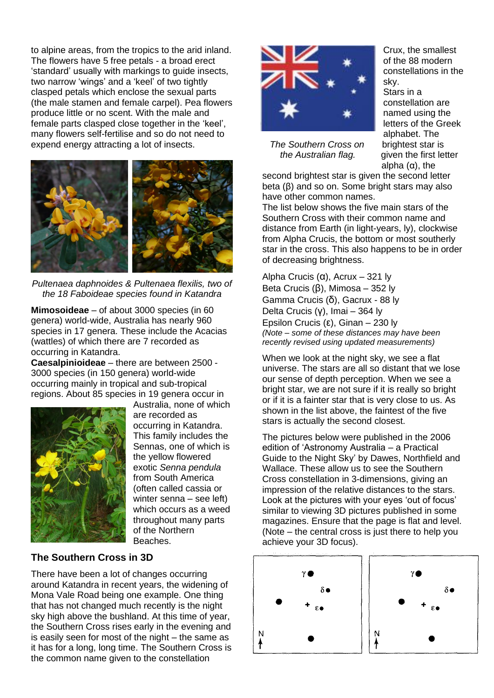to alpine areas, from the tropics to the arid inland. The flowers have 5 free petals - a broad erect 'standard' usually with markings to guide insects, two narrow 'wings' and a 'keel' of two tightly clasped petals which enclose the sexual parts (the male stamen and female carpel). Pea flowers produce little or no scent. With the male and female parts clasped close together in the 'keel', many flowers self-fertilise and so do not need to expend energy attracting a lot of insects.



*Pultenaea daphnoides & Pultenaea flexilis, two of the 18 Faboideae species found in Katandra*

**Mimosoideae** – of about 3000 species (in 60 genera) world-wide, Australia has nearly 960 species in 17 genera. These include the Acacias (wattles) of which there are 7 recorded as occurring in Katandra.

**Caesalpinioideae** – there are between 2500 - 3000 species (in 150 genera) world-wide occurring mainly in tropical and sub-tropical regions. About 85 species in 19 genera occur in



Australia, none of which are recorded as occurring in Katandra. This family includes the Sennas, one of which is the yellow flowered exotic *Senna pendula* from South America (often called cassia or winter senna – see left) which occurs as a weed throughout many parts of the Northern Beaches.

# **The Southern Cross in 3D**

There have been a lot of changes occurring around Katandra in recent years, the widening of Mona Vale Road being one example. One thing that has not changed much recently is the night sky high above the bushland. At this time of year, the Southern Cross rises early in the evening and is easily seen for most of the night – the same as it has for a long, long time. The Southern Cross is the common name given to the constellation



 *The Southern Cross on* brightest star is *the Australian flag.* given the first letter

Crux, the smallest of the 88 modern constellations in the sky.

Stars in a constellation are named using the letters of the Greek alphabet. The alpha  $(\alpha)$ , the

second brightest star is given the second letter beta (β) and so on. Some bright stars may also have other common names.

The list below shows the five main stars of the Southern Cross with their common name and distance from Earth (in light-years, ly), clockwise from Alpha Crucis, the bottom or most southerly star in the cross. This also happens to be in order of decreasing brightness.

Alpha Crucis (α), Acrux – 321 ly Beta Crucis (β), Mimosa – 352 ly Gamma Crucis (δ), Gacrux - 88 ly Delta Crucis (γ), Imai – 364 ly Epsilon Crucis (ε), Ginan – 230 ly *(Note – some of these distances may have been recently revised using updated measurements)*

When we look at the night sky, we see a flat universe. The stars are all so distant that we lose our sense of depth perception. When we see a bright star, we are not sure if it is really so bright or if it is a fainter star that is very close to us. As shown in the list above, the faintest of the five stars is actually the second closest.

The pictures below were published in the 2006 edition of 'Astronomy Australia – a Practical Guide to the Night Sky' by Dawes, Northfield and Wallace. These allow us to see the Southern Cross constellation in 3-dimensions, giving an impression of the relative distances to the stars. Look at the pictures with your eyes 'out of focus' similar to viewing 3D pictures published in some magazines. Ensure that the page is flat and level. (Note – the central cross is just there to help you achieve your 3D focus).